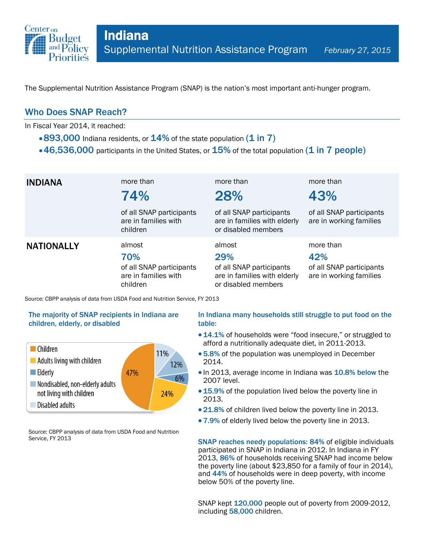

The Supplemental Nutrition Assistance Program (SNAP) is the nation's most important anti-hunger program.

## Who Does SNAP Reach?

In Fiscal Year 2014, it reached:

- $\cdot$  893,000 Indiana residents, or  $14\%$  of the state population (1 in 7)
- $\cdot$  46,536,000 participants in the United States, or  $15\%$  of the total population (1 in 7 people)

| <b>INDIANA</b>    | more than<br>74%<br>of all SNAP participants<br>are in families with<br>children | more than<br>28%<br>of all SNAP participants<br>are in families with elderly<br>or disabled members | more than<br>43%<br>of all SNAP participants<br>are in working families |
|-------------------|----------------------------------------------------------------------------------|-----------------------------------------------------------------------------------------------------|-------------------------------------------------------------------------|
| <b>NATIONALLY</b> | almost<br>70%<br>of all SNAP participants<br>are in families with<br>children    | almost<br>29%<br>of all SNAP participants<br>are in families with elderly<br>or disabled members    | more than<br>42%<br>of all SNAP participants<br>are in working families |

Source: CBPP analysis of data from USDA Food and Nutrition Service, FY 2013

### The majority of SNAP recipients in Indiana are children, elderly, or disabled



Source: CBPP analysis of data from USDA Food and Nutrition Service, FY 2013

### In Indiana many households still struggle to put food on the table:

- 14.1% of households were "food insecure," or struggled to afford a nutritionally adequate diet, in 2011-2013.
- 5.8% of the population was unemployed in December 2014.
- In 2013, average income in Indiana was 10.8% below the 2007 level.
- 15.9% of the population lived below the poverty line in 2013.
- 21.8% of children lived below the poverty line in 2013.
- 7.9% of elderly lived below the poverty line in 2013.

SNAP reaches needy populations: 84% of eligible individuals participated in SNAP in Indiana in 2012. In Indiana in FY 2013, 86% of households receiving SNAP had income below the poverty line (about \$23,850 for a family of four in 2014), and 44% of households were in deep poverty, with income below 50% of the poverty line.

SNAP kept 120,000 people out of poverty from 2009-2012, including 58,000 children.